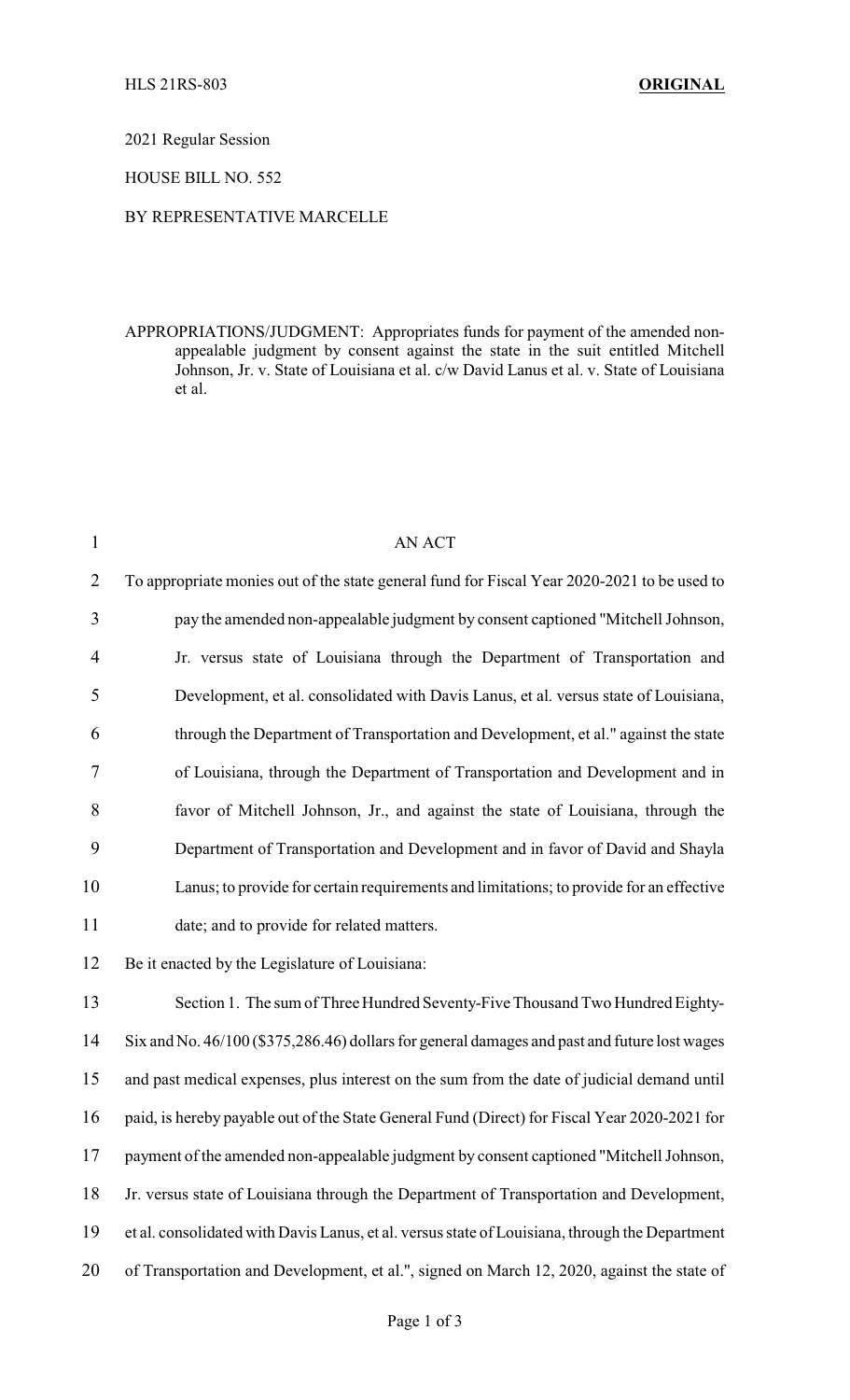2021 Regular Session

HOUSE BILL NO. 552

## BY REPRESENTATIVE MARCELLE

APPROPRIATIONS/JUDGMENT: Appropriates funds for payment of the amended nonappealable judgment by consent against the state in the suit entitled Mitchell Johnson, Jr. v. State of Louisiana et al. c/w David Lanus et al. v. State of Louisiana et al.

| $\mathbf{1}$   | <b>AN ACT</b>                                                                                |
|----------------|----------------------------------------------------------------------------------------------|
| $\overline{2}$ | To appropriate monies out of the state general fund for Fiscal Year 2020-2021 to be used to  |
| 3              | pay the amended non-appealable judgment by consent captioned "Mitchell Johnson,              |
| 4              | Jr. versus state of Louisiana through the Department of Transportation and                   |
| 5              | Development, et al. consolidated with Davis Lanus, et al. versus state of Louisiana,         |
| 6              | through the Department of Transportation and Development, et al." against the state          |
| 7              | of Louisiana, through the Department of Transportation and Development and in                |
| 8              | favor of Mitchell Johnson, Jr., and against the state of Louisiana, through the              |
| 9              | Department of Transportation and Development and in favor of David and Shayla                |
| 10             | Lanus; to provide for certain requirements and limitations; to provide for an effective      |
| 11             | date; and to provide for related matters.                                                    |
| 12             | Be it enacted by the Legislature of Louisiana:                                               |
| 13             | Section 1. The sum of Three Hundred Seventy-Five Thousand Two Hundred Eighty-                |
| 14             | Six and No. 46/100 (\$375,286.46) dollars for general damages and past and future lost wages |
| 15             | and past medical expenses, plus interest on the sum from the date of judicial demand until   |
| 16             | paid, is hereby payable out of the State General Fund (Direct) for Fiscal Year 2020-2021 for |
| 17             | payment of the amended non-appealable judgment by consent captioned "Mitchell Johnson,       |
| 18             | Jr. versus state of Louisiana through the Department of Transportation and Development,      |
|                |                                                                                              |

- 19 et al. consolidated with Davis Lanus, et al. versus state of Louisiana, through the Department
- 20 of Transportation and Development, et al.", signed on March 12, 2020, against the state of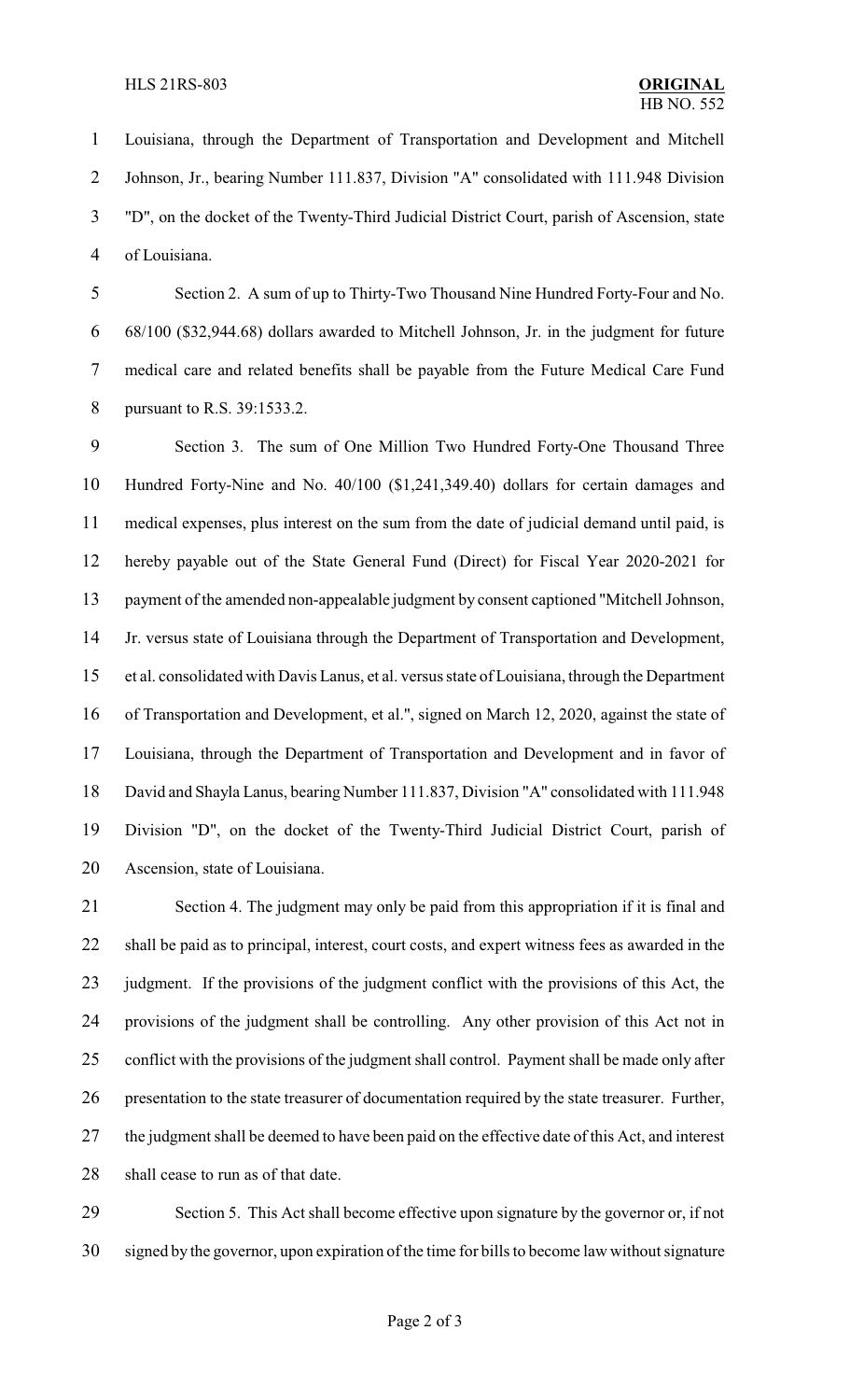Louisiana, through the Department of Transportation and Development and Mitchell Johnson, Jr., bearing Number 111.837, Division "A" consolidated with 111.948 Division "D", on the docket of the Twenty-Third Judicial District Court, parish of Ascension, state of Louisiana.

 Section 2. A sum of up to Thirty-Two Thousand Nine Hundred Forty-Four and No. 68/100 (\$32,944.68) dollars awarded to Mitchell Johnson, Jr. in the judgment for future medical care and related benefits shall be payable from the Future Medical Care Fund pursuant to R.S. 39:1533.2.

 Section 3. The sum of One Million Two Hundred Forty-One Thousand Three Hundred Forty-Nine and No. 40/100 (\$1,241,349.40) dollars for certain damages and medical expenses, plus interest on the sum from the date of judicial demand until paid, is hereby payable out of the State General Fund (Direct) for Fiscal Year 2020-2021 for payment of the amended non-appealable judgment by consent captioned "Mitchell Johnson, Jr. versus state of Louisiana through the Department of Transportation and Development, et al. consolidated with Davis Lanus, et al. versus state of Louisiana, through the Department of Transportation and Development, et al.", signed on March 12, 2020, against the state of Louisiana, through the Department of Transportation and Development and in favor of David and Shayla Lanus, bearing Number 111.837, Division "A" consolidated with 111.948 Division "D", on the docket of the Twenty-Third Judicial District Court, parish of Ascension, state of Louisiana.

 Section 4. The judgment may only be paid from this appropriation if it is final and shall be paid as to principal, interest, court costs, and expert witness fees as awarded in the judgment. If the provisions of the judgment conflict with the provisions of this Act, the provisions of the judgment shall be controlling. Any other provision of this Act not in conflict with the provisions of the judgment shall control. Payment shall be made only after presentation to the state treasurer of documentation required by the state treasurer. Further, the judgment shall be deemed to have been paid on the effective date of this Act, and interest shall cease to run as of that date.

 Section 5. This Act shall become effective upon signature by the governor or, if not signed by the governor, upon expiration of the time for bills to become law without signature